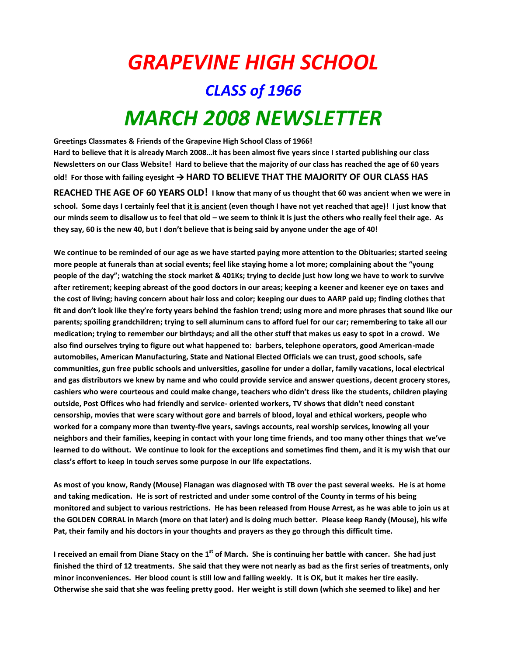## *GRAPEVINE HIGH SCHOOL CLASS of 1966 MARCH 2008 NEWSLETTER*

**Greetings Classmates & Friends of the Grapevine High School Class of 1966! Hard to believe that it is already March 2008…it has been almost five years since I started publishing our class Newsletters on our Class Website! Hard to believe that the majority of our class has reached the age of 60 years**  old! For those with failing eyesight  $\rightarrow$  HARD TO BELIEVE THAT THE MAJORITY OF OUR CLASS HAS **REACHED THE AGE OF 60 YEARS OLD! I know that many of us thought that 60 was ancient when we were in school. Some days I certainly feel that it is ancient (even though I have not yet reached that age)! I just know that our minds seem to disallow us to feel that old – we seem to think it is just the others who really feel their age. As they say, 60 is the new 40, but I don't believe that is being said by anyone under the age of 40!** 

**We continue to be reminded of our age as we have started paying more attention to the Obituaries; started seeing more people at funerals than at social events; feel like staying home a lot more; complaining about the "young people of the day"; watching the stock market & 401Ks; trying to decide just how long we have to work to survive after retirement; keeping abreast of the good doctors in our areas; keeping a keener and keener eye on taxes and the cost of living; having concern about hair loss and color; keeping our dues to AARP paid up; finding clothes that fit and don't look like they're forty years behind the fashion trend; using more and more phrases that sound like our parents; spoiling grandchildren; trying to sell aluminum cans to afford fuel for our car; remembering to take all our medication; trying to remember our birthdays; and all the other stuff that makes us easy to spot in a crowd. We also find ourselves trying to figure out what happened to: barbers, telephone operators, good American-made automobiles, American Manufacturing, State and National Elected Officials we can trust, good schools, safe communities, gun free public schools and universities, gasoline for under a dollar, family vacations, local electrical and gas distributors we knew by name and who could provide service and answer questions, decent grocery stores, cashiers who were courteous and could make change, teachers who didn't dress like the students, children playing outside, Post Offices who had friendly and service- oriented workers, TV shows that didn't need constant censorship, movies that were scary without gore and barrels of blood, loyal and ethical workers, people who worked for a company more than twenty-five years, savings accounts, real worship services, knowing all your neighbors and their families, keeping in contact with your long time friends, and too many other things that we've learned to do without. We continue to look for the exceptions and sometimes find them, and it is my wish that our class's effort to keep in touch serves some purpose in our life expectations.**

**As most of you know, Randy (Mouse) Flanagan was diagnosed with TB over the past several weeks. He is at home and taking medication. He is sort of restricted and under some control of the County in terms of his being monitored and subject to various restrictions. He has been released from House Arrest, as he was able to join us at the GOLDEN CORRAL in March (more on that later) and is doing much better. Please keep Randy (Mouse), his wife Pat, their family and his doctors in your thoughts and prayers as they go through this difficult time.**

**I received an email from Diane Stacy on the 1st of March. She is continuing her battle with cancer. She had just finished the third of 12 treatments. She said that they were not nearly as bad as the first series of treatments, only minor inconveniences. Her blood count is still low and falling weekly. It is OK, but it makes her tire easily. Otherwise she said that she was feeling pretty good. Her weight is still down (which she seemed to like) and her**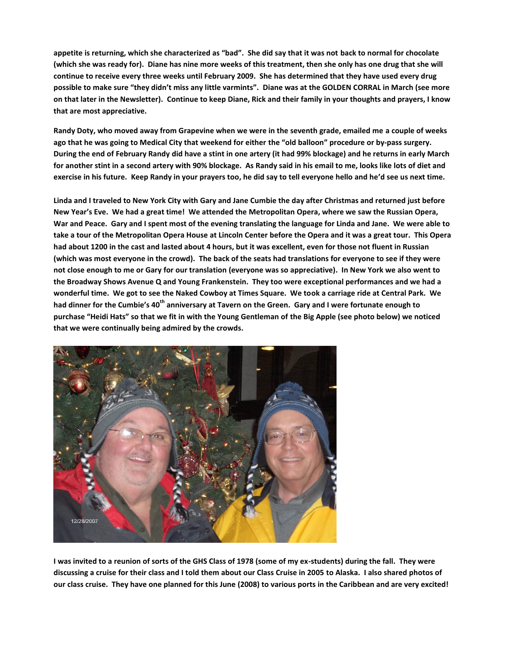**appetite is returning, which she characterized as "bad". She did say that it was not back to normal for chocolate (which she was ready for). Diane has nine more weeks of this treatment, then she only has one drug that she will continue to receive every three weeks until February 2009. She has determined that they have used every drug possible to make sure "they didn't miss any little varmints". Diane was at the GOLDEN CORRAL in March (see more on that later in the Newsletter). Continue to keep Diane, Rick and their family in your thoughts and prayers, I know that are most appreciative.**

**Randy Doty, who moved away from Grapevine when we were in the seventh grade, emailed me a couple of weeks ago that he was going to Medical City that weekend for either the "old balloon" procedure or by-pass surgery. During the end of February Randy did have a stint in one artery (it had 99% blockage) and he returns in early March for another stint in a second artery with 90% blockage. As Randy said in his email to me, looks like lots of diet and exercise in his future. Keep Randy in your prayers too, he did say to tell everyone hello and he'd see us next time.**

**Linda and I traveled to New York City with Gary and Jane Cumbie the day after Christmas and returned just before New Year's Eve. We had a great time! We attended the Metropolitan Opera, where we saw the Russian Opera, War and Peace. Gary and I spent most of the evening translating the language for Linda and Jane. We were able to take a tour of the Metropolitan Opera House at Lincoln Center before the Opera and it was a great tour. This Opera had about 1200 in the cast and lasted about 4 hours, but it was excellent, even for those not fluent in Russian (which was most everyone in the crowd). The back of the seats had translations for everyone to see if they were not close enough to me or Gary for our translation (everyone was so appreciative). In New York we also went to the Broadway Shows Avenue Q and Young Frankenstein. They too were exceptional performances and we had a wonderful time. We got to see the Naked Cowboy at Times Square. We took a carriage ride at Central Park. We had dinner for the Cumbie's 40th anniversary at Tavern on the Green. Gary and I were fortunate enough to purchase "Heidi Hats" so that we fit in with the Young Gentleman of the Big Apple (see photo below) we noticed that we were continually being admired by the crowds.**



**I was invited to a reunion of sorts of the GHS Class of 1978 (some of my ex-students) during the fall. They were discussing a cruise for their class and I told them about our Class Cruise in 2005 to Alaska. I also shared photos of our class cruise. They have one planned for this June (2008) to various ports in the Caribbean and are very excited!**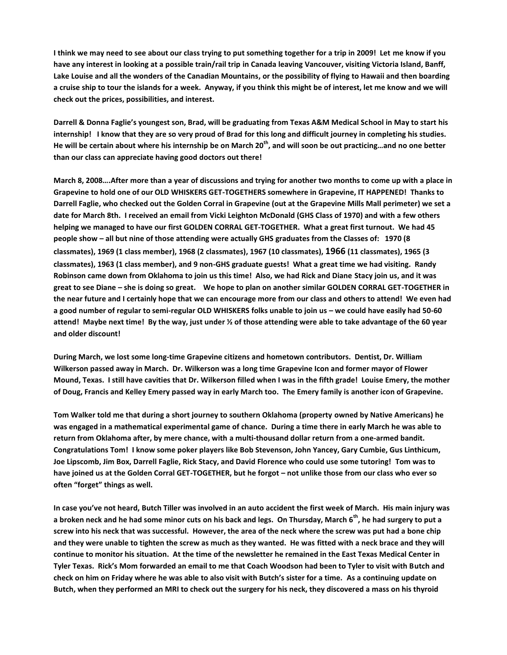**I think we may need to see about our class trying to put something together for a trip in 2009! Let me know if you have any interest in looking at a possible train/rail trip in Canada leaving Vancouver, visiting Victoria Island, Banff, Lake Louise and all the wonders of the Canadian Mountains, or the possibility of flying to Hawaii and then boarding a cruise ship to tour the islands for a week. Anyway, if you think this might be of interest, let me know and we will check out the prices, possibilities, and interest.**

**Darrell & Donna Faglie's youngest son, Brad, will be graduating from Texas A&M Medical School in May to start his internship! I know that they are so very proud of Brad for this long and difficult journey in completing his studies. He will be certain about where his internship be on March 20th , and will soon be out practicing…and no one better than our class can appreciate having good doctors out there!**

**March 8, 2008….After more than a year of discussions and trying for another two months to come up with a place in Grapevine to hold one of our OLD WHISKERS GET-TOGETHERS somewhere in Grapevine, IT HAPPENED! Thanks to Darrell Faglie, who checked out the Golden Corral in Grapevine (out at the Grapevine Mills Mall perimeter) we set a date for March 8th. I received an email from Vicki Leighton McDonald (GHS Class of 1970) and with a few others helping we managed to have our first GOLDEN CORRAL GET-TOGETHER. What a great first turnout. We had 45 people show – all but nine of those attending were actually GHS graduates from the Classes of: 1970 (8 classmates), 1969 (1 class member), 1968 (2 classmates), 1967 (10 classmates), 1966 (11 classmates), 1965 (3 classmates), 1963 (1 class member), and 9 non-GHS graduate guests! What a great time we had visiting. Randy Robinson came down from Oklahoma to join us this time! Also, we had Rick and Diane Stacy join us, and it was great to see Diane – she is doing so great. We hope to plan on another similar GOLDEN CORRAL GET-TOGETHER in the near future and I certainly hope that we can encourage more from our class and others to attend! We even had a good number of regular to semi-regular OLD WHISKERS folks unable to join us – we could have easily had 50-60 attend! Maybe next time! By the way, just under ½ of those attending were able to take advantage of the 60 year and older discount!**

**During March, we lost some long-time Grapevine citizens and hometown contributors. Dentist, Dr. William Wilkerson passed away in March. Dr. Wilkerson was a long time Grapevine Icon and former mayor of Flower Mound, Texas. I still have cavities that Dr. Wilkerson filled when I was in the fifth grade! Louise Emery, the mother of Doug, Francis and Kelley Emery passed way in early March too. The Emery family is another icon of Grapevine.** 

**Tom Walker told me that during a short journey to southern Oklahoma (property owned by Native Americans) he was engaged in a mathematical experimental game of chance. During a time there in early March he was able to return from Oklahoma after, by mere chance, with a multi-thousand dollar return from a one-armed bandit. Congratulations Tom! I know some poker players like Bob Stevenson, John Yancey, Gary Cumbie, Gus Linthicum, Joe Lipscomb, Jim Box, Darrell Faglie, Rick Stacy, and David Florence who could use some tutoring! Tom was to have joined us at the Golden Corral GET-TOGETHER, but he forgot – not unlike those from our class who ever so often "forget" things as well.**

**In case you've not heard, Butch Tiller was involved in an auto accident the first week of March. His main injury was a broken neck and he had some minor cuts on his back and legs. On Thursday, March 6th, he had surgery to put a screw into his neck that was successful. However, the area of the neck where the screw was put had a bone chip and they were unable to tighten the screw as much as they wanted. He was fitted with a neck brace and they will continue to monitor his situation. At the time of the newsletter he remained in the East Texas Medical Center in Tyler Texas. Rick's Mom forwarded an email to me that Coach Woodson had been to Tyler to visit with Butch and check on him on Friday where he was able to also visit with Butch's sister for a time. As a continuing update on Butch, when they performed an MRI to check out the surgery for his neck, they discovered a mass on his thyroid**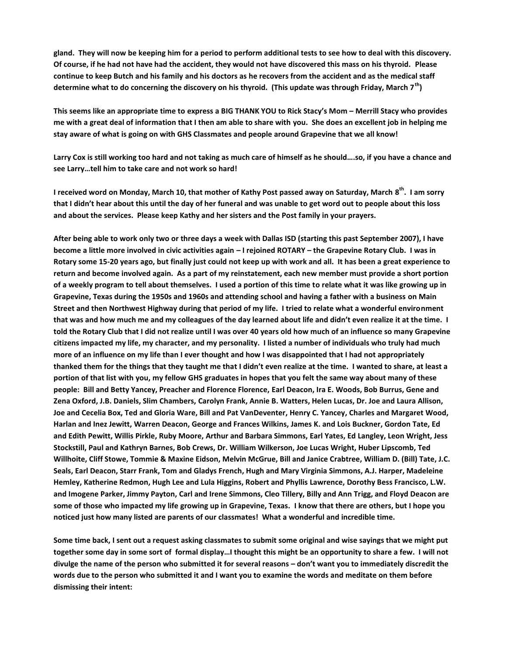**gland. They will now be keeping him for a period to perform additional tests to see how to deal with this discovery. Of course, if he had not have had the accident, they would not have discovered this mass on his thyroid. Please continue to keep Butch and his family and his doctors as he recovers from the accident and as the medical staff determine what to do concerning the discovery on his thyroid. (This update was through Friday, March 7th)** 

**This seems like an appropriate time to express a BIG THANK YOU to Rick Stacy's Mom – Merrill Stacy who provides me with a great deal of information that I then am able to share with you. She does an excellent job in helping me stay aware of what is going on with GHS Classmates and people around Grapevine that we all know!**

**Larry Cox is still working too hard and not taking as much care of himself as he should….so, if you have a chance and see Larry…tell him to take care and not work so hard!**

**I received word on Monday, March 10, that mother of Kathy Post passed away on Saturday, March 8 th. I am sorry that I didn't hear about this until the day of her funeral and was unable to get word out to people about this loss and about the services. Please keep Kathy and her sisters and the Post family in your prayers.**

**After being able to work only two or three days a week with Dallas ISD (starting this past September 2007), I have become a little more involved in civic activities again – I rejoined ROTARY – the Grapevine Rotary Club. I was in Rotary some 15-20 years ago, but finally just could not keep up with work and all. It has been a great experience to return and become involved again. As a part of my reinstatement, each new member must provide a short portion of a weekly program to tell about themselves. I used a portion of this time to relate what it was like growing up in Grapevine, Texas during the 1950s and 1960s and attending school and having a father with a business on Main Street and then Northwest Highway during that period of my life. I tried to relate what a wonderful environment that was and how much me and my colleagues of the day learned about life and didn't even realize it at the time. I told the Rotary Club that I did not realize until I was over 40 years old how much of an influence so many Grapevine citizens impacted my life, my character, and my personality. I listed a number of individuals who truly had much more of an influence on my life than I ever thought and how I was disappointed that I had not appropriately thanked them for the things that they taught me that I didn't even realize at the time. I wanted to share, at least a portion of that list with you, my fellow GHS graduates in hopes that you felt the same way about many of these people: Bill and Betty Yancey, Preacher and Florence Florence, Earl Deacon, Ira E. Woods, Bob Burrus, Gene and Zena Oxford, J.B. Daniels, Slim Chambers, Carolyn Frank, Annie B. Watters, Helen Lucas, Dr. Joe and Laura Allison, Joe and Cecelia Box, Ted and Gloria Ware, Bill and Pat VanDeventer, Henry C. Yancey, Charles and Margaret Wood, Harlan and Inez Jewitt, Warren Deacon, George and Frances Wilkins, James K. and Lois Buckner, Gordon Tate, Ed and Edith Pewitt, Willis Pirkle, Ruby Moore, Arthur and Barbara Simmons, Earl Yates, Ed Langley, Leon Wright, Jess Stockstill, Paul and Kathryn Barnes, Bob Crews, Dr. William Wilkerson, Joe Lucas Wright, Huber Lipscomb, Ted Willhoite, Cliff Stowe, Tommie & Maxine Eidson, Melvin McGrue, Bill and Janice Crabtree, William D. (Bill) Tate, J.C. Seals, Earl Deacon, Starr Frank, Tom and Gladys French, Hugh and Mary Virginia Simmons, A.J. Harper, Madeleine Hemley, Katherine Redmon, Hugh Lee and Lula Higgins, Robert and Phyllis Lawrence, Dorothy Bess Francisco, L.W. and Imogene Parker, Jimmy Payton, Carl and Irene Simmons, Cleo Tillery, Billy and Ann Trigg, and Floyd Deacon are some of those who impacted my life growing up in Grapevine, Texas. I know that there are others, but I hope you noticed just how many listed are parents of our classmates! What a wonderful and incredible time.**

**Some time back, I sent out a request asking classmates to submit some original and wise sayings that we might put together some day in some sort of formal display…I thought this might be an opportunity to share a few. I will not divulge the name of the person who submitted it for several reasons – don't want you to immediately discredit the words due to the person who submitted it and I want you to examine the words and meditate on them before dismissing their intent:**